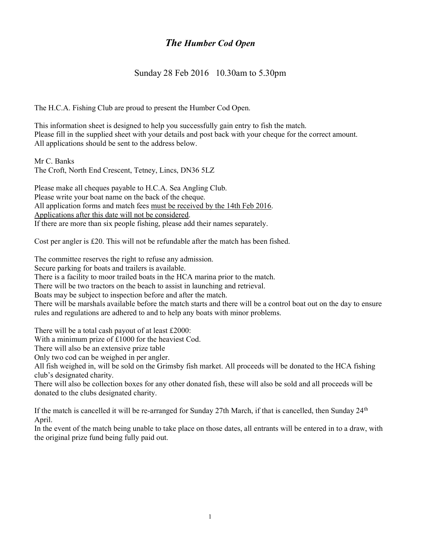# The Humber Cod Open

### Sunday 28 Feb 2016 10.30am to 5.30pm

The H.C.A. Fishing Club are proud to present the Humber Cod Open.

This information sheet is designed to help you successfully gain entry to fish the match. Please fill in the supplied sheet with your details and post back with your cheque for the correct amount. All applications should be sent to the address below.

Mr C. Banks The Croft, North End Crescent, Tetney, Lincs, DN36 5LZ

Please make all cheques payable to H.C.A. Sea Angling Club. Please write your boat name on the back of the cheque. All application forms and match fees must be received by the 14th Feb 2016. Applications after this date will not be considered. If there are more than six people fishing, please add their names separately.

Cost per angler is £20. This will not be refundable after the match has been fished.

The committee reserves the right to refuse any admission.

Secure parking for boats and trailers is available.

There is a facility to moor trailed boats in the HCA marina prior to the match.

There will be two tractors on the beach to assist in launching and retrieval.

Boats may be subject to inspection before and after the match.

There will be marshals available before the match starts and there will be a control boat out on the day to ensure rules and regulations are adhered to and to help any boats with minor problems.

There will be a total cash payout of at least £2000:

With a minimum prize of £1000 for the heaviest Cod.

There will also be an extensive prize table

Only two cod can be weighed in per angler.

All fish weighed in, will be sold on the Grimsby fish market. All proceeds will be donated to the HCA fishing club's designated charity.

There will also be collection boxes for any other donated fish, these will also be sold and all proceeds will be donated to the clubs designated charity.

If the match is cancelled it will be re-arranged for Sunday 27th March, if that is cancelled, then Sunday 24<sup>th</sup> April.

In the event of the match being unable to take place on those dates, all entrants will be entered in to a draw, with the original prize fund being fully paid out.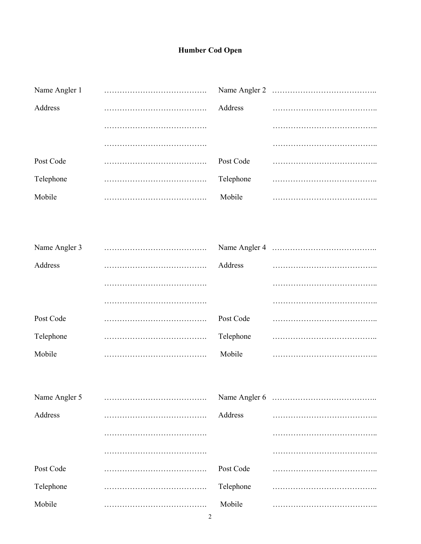## **Humber Cod Open**

| Name Angler 1 |           |  |
|---------------|-----------|--|
| Address       | Address   |  |
|               |           |  |
|               |           |  |
| Post Code     | Post Code |  |
| Telephone     | Telephone |  |
| Mobile        | Mobile    |  |

| Name Angler 3 |           |  |
|---------------|-----------|--|
| Address       | Address   |  |
|               |           |  |
|               |           |  |
| Post Code     | Post Code |  |
| Telephone     | Telephone |  |
| Mobile        | Mobile    |  |

| Name Angler 5 |           |  |
|---------------|-----------|--|
| Address       | Address   |  |
|               |           |  |
|               |           |  |
| Post Code     | Post Code |  |
| Telephone     | Telephone |  |
| Mobile        | Mobile    |  |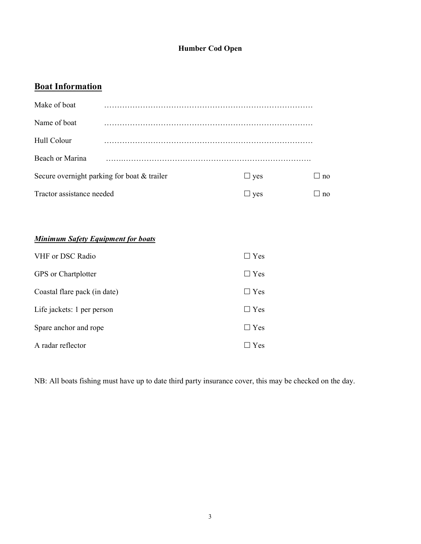#### Humber Cod Open

## **Boat Information**

| Make of boat                                |            |            |
|---------------------------------------------|------------|------------|
| Name of boat                                |            |            |
| Hull Colour                                 |            |            |
| Beach or Marina                             |            |            |
| Secure overnight parking for boat & trailer | $\Box$ yes | $\perp$ no |
| Tractor assistance needed                   | $\Box$ yes | no         |
|                                             |            |            |
|                                             |            |            |

### **Minimum Safety Equipment for boats**

| VHF or DSC Radio             | $\square$ Yes |
|------------------------------|---------------|
| GPS or Chartplotter          | $\Box$ Yes    |
| Coastal flare pack (in date) | $\Box$ Yes    |
| Life jackets: 1 per person   | $\Box$ Yes    |
| Spare anchor and rope        | $\Box$ Yes    |
| A radar reflector            | Yes           |

NB: All boats fishing must have up to date third party insurance cover, this may be checked on the day.